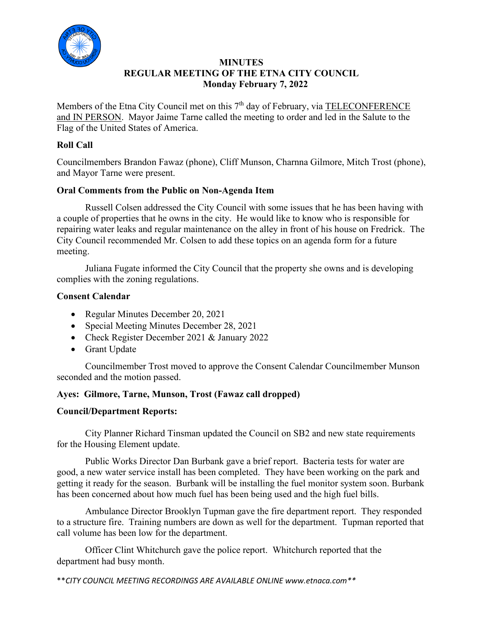

#### **MINUTES REGULAR MEETING OF THE ETNA CITY COUNCIL Monday February 7, 2022**

Members of the Etna City Council met on this 7<sup>th</sup> day of February, via TELECONFERENCE and IN PERSON. Mayor Jaime Tarne called the meeting to order and led in the Salute to the Flag of the United States of America.

### **Roll Call**

Councilmembers Brandon Fawaz (phone), Cliff Munson, Charnna Gilmore, Mitch Trost (phone), and Mayor Tarne were present.

### **Oral Comments from the Public on Non-Agenda Item**

 Russell Colsen addressed the City Council with some issues that he has been having with a couple of properties that he owns in the city. He would like to know who is responsible for repairing water leaks and regular maintenance on the alley in front of his house on Fredrick. The City Council recommended Mr. Colsen to add these topics on an agenda form for a future meeting.

 Juliana Fugate informed the City Council that the property she owns and is developing complies with the zoning regulations.

### **Consent Calendar**

- Regular Minutes December 20, 2021
- Special Meeting Minutes December 28, 2021
- Check Register December 2021 & January 2022
- Grant Update

Councilmember Trost moved to approve the Consent Calendar Councilmember Munson seconded and the motion passed.

# **Ayes: Gilmore, Tarne, Munson, Trost (Fawaz call dropped)**

#### **Council/Department Reports:**

City Planner Richard Tinsman updated the Council on SB2 and new state requirements for the Housing Element update.

 Public Works Director Dan Burbank gave a brief report. Bacteria tests for water are good, a new water service install has been completed. They have been working on the park and getting it ready for the season. Burbank will be installing the fuel monitor system soon. Burbank has been concerned about how much fuel has been being used and the high fuel bills.

 Ambulance Director Brooklyn Tupman gave the fire department report. They responded to a structure fire. Training numbers are down as well for the department. Tupman reported that call volume has been low for the department.

 Officer Clint Whitchurch gave the police report. Whitchurch reported that the department had busy month.

\*\**CITY COUNCIL MEETING RECORDINGS ARE AVAILABLE ONLINE www.etnaca.com\*\**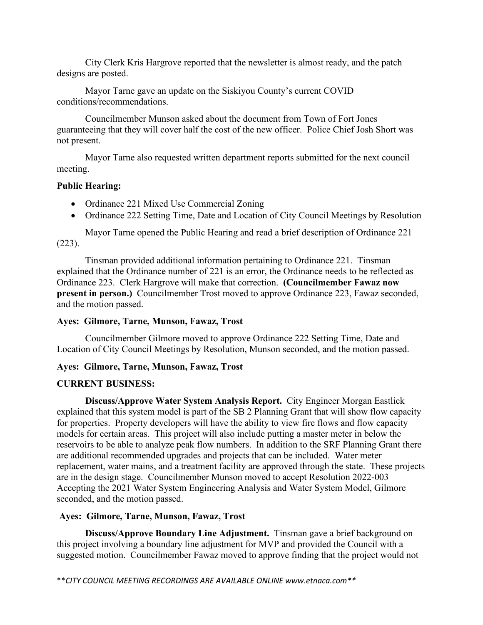City Clerk Kris Hargrove reported that the newsletter is almost ready, and the patch designs are posted.

Mayor Tarne gave an update on the Siskiyou County's current COVID conditions/recommendations.

Councilmember Munson asked about the document from Town of Fort Jones guaranteeing that they will cover half the cost of the new officer. Police Chief Josh Short was not present.

Mayor Tarne also requested written department reports submitted for the next council meeting.

#### **Public Hearing:**

- Ordinance 221 Mixed Use Commercial Zoning
- Ordinance 222 Setting Time, Date and Location of City Council Meetings by Resolution

Mayor Tarne opened the Public Hearing and read a brief description of Ordinance 221 (223).

Tinsman provided additional information pertaining to Ordinance 221. Tinsman explained that the Ordinance number of 221 is an error, the Ordinance needs to be reflected as Ordinance 223. Clerk Hargrove will make that correction. **(Councilmember Fawaz now present in person.)** Councilmember Trost moved to approve Ordinance 223, Fawaz seconded, and the motion passed.

# **Ayes: Gilmore, Tarne, Munson, Fawaz, Trost**

Councilmember Gilmore moved to approve Ordinance 222 Setting Time, Date and Location of City Council Meetings by Resolution, Munson seconded, and the motion passed.

# **Ayes: Gilmore, Tarne, Munson, Fawaz, Trost**

# **CURRENT BUSINESS:**

**Discuss/Approve Water System Analysis Report.** City Engineer Morgan Eastlick explained that this system model is part of the SB 2 Planning Grant that will show flow capacity for properties. Property developers will have the ability to view fire flows and flow capacity models for certain areas. This project will also include putting a master meter in below the reservoirs to be able to analyze peak flow numbers. In addition to the SRF Planning Grant there are additional recommended upgrades and projects that can be included. Water meter replacement, water mains, and a treatment facility are approved through the state. These projects are in the design stage. Councilmember Munson moved to accept Resolution 2022-003 Accepting the 2021 Water System Engineering Analysis and Water System Model, Gilmore seconded, and the motion passed.

# **Ayes: Gilmore, Tarne, Munson, Fawaz, Trost**

**Discuss/Approve Boundary Line Adjustment.** Tinsman gave a brief background on this project involving a boundary line adjustment for MVP and provided the Council with a suggested motion. Councilmember Fawaz moved to approve finding that the project would not

\*\**CITY COUNCIL MEETING RECORDINGS ARE AVAILABLE ONLINE www.etnaca.com\*\**